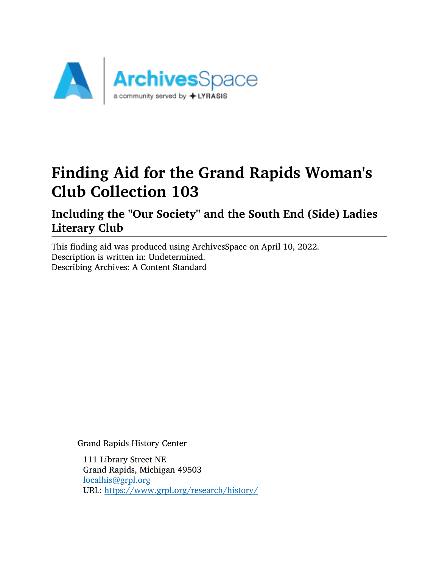

# Finding Aid for the Grand Rapids Woman's Club Collection 103

# Including the "Our Society" and the South End (Side) Ladies Literary Club

This finding aid was produced using ArchivesSpace on April 10, 2022. Description is written in: Undetermined. Describing Archives: A Content Standard

Grand Rapids History Center

111 Library Street NE Grand Rapids, Michigan 49503 [localhis@grpl.org](mailto:localhis@grpl.org) URL: <https://www.grpl.org/research/history/>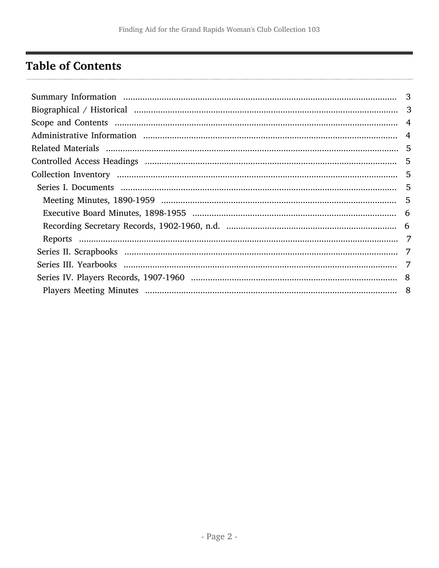# <span id="page-1-0"></span>**Table of Contents**

| $-5$ |
|------|
|      |
|      |
| -7   |
|      |
|      |
|      |
|      |
|      |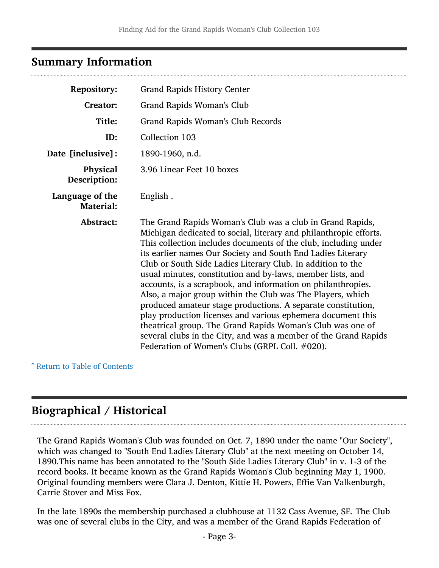### <span id="page-2-0"></span>Summary Information

| <b>Repository:</b>                  | <b>Grand Rapids History Center</b>                                                                                                                                                                                                                                                                                                                                                                                                                                                                                                                                                                                                                                                                                                                                                                                                            |
|-------------------------------------|-----------------------------------------------------------------------------------------------------------------------------------------------------------------------------------------------------------------------------------------------------------------------------------------------------------------------------------------------------------------------------------------------------------------------------------------------------------------------------------------------------------------------------------------------------------------------------------------------------------------------------------------------------------------------------------------------------------------------------------------------------------------------------------------------------------------------------------------------|
| <b>Creator:</b>                     | Grand Rapids Woman's Club                                                                                                                                                                                                                                                                                                                                                                                                                                                                                                                                                                                                                                                                                                                                                                                                                     |
| Title:                              | Grand Rapids Woman's Club Records                                                                                                                                                                                                                                                                                                                                                                                                                                                                                                                                                                                                                                                                                                                                                                                                             |
| ID:                                 | Collection 103                                                                                                                                                                                                                                                                                                                                                                                                                                                                                                                                                                                                                                                                                                                                                                                                                                |
| Date [inclusive]:                   | 1890-1960, n.d.                                                                                                                                                                                                                                                                                                                                                                                                                                                                                                                                                                                                                                                                                                                                                                                                                               |
| <b>Physical</b><br>Description:     | 3.96 Linear Feet 10 boxes                                                                                                                                                                                                                                                                                                                                                                                                                                                                                                                                                                                                                                                                                                                                                                                                                     |
| Language of the<br><b>Material:</b> | English.                                                                                                                                                                                                                                                                                                                                                                                                                                                                                                                                                                                                                                                                                                                                                                                                                                      |
| Abstract:                           | The Grand Rapids Woman's Club was a club in Grand Rapids,<br>Michigan dedicated to social, literary and philanthropic efforts.<br>This collection includes documents of the club, including under<br>its earlier names Our Society and South End Ladies Literary<br>Club or South Side Ladies Literary Club. In addition to the<br>usual minutes, constitution and by-laws, member lists, and<br>accounts, is a scrapbook, and information on philanthropies.<br>Also, a major group within the Club was The Players, which<br>produced amateur stage productions. A separate constitution,<br>play production licenses and various ephemera document this<br>theatrical group. The Grand Rapids Woman's Club was one of<br>several clubs in the City, and was a member of the Grand Rapids<br>Federation of Women's Clubs (GRPL Coll. #020). |

^ [Return to Table of Contents](#page-1-0)

# <span id="page-2-1"></span>Biographical / Historical

The Grand Rapids Woman's Club was founded on Oct. 7, 1890 under the name "Our Society", which was changed to "South End Ladies Literary Club" at the next meeting on October 14, 1890.This name has been annotated to the "South Side Ladies Literary Club" in v. 1-3 of the record books. It became known as the Grand Rapids Woman's Club beginning May 1, 1900. Original founding members were Clara J. Denton, Kittie H. Powers, Effie Van Valkenburgh, Carrie Stover and Miss Fox.

In the late 1890s the membership purchased a clubhouse at 1132 Cass Avenue, SE. The Club was one of several clubs in the City, and was a member of the Grand Rapids Federation of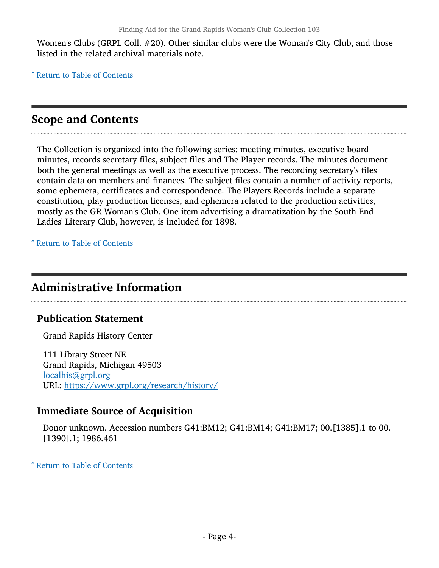Women's Clubs (GRPL Coll. #20). Other similar clubs were the Woman's City Club, and those listed in the related archival materials note.

^ [Return to Table of Contents](#page-1-0)

### <span id="page-3-0"></span>Scope and Contents

The Collection is organized into the following series: meeting minutes, executive board minutes, records secretary files, subject files and The Player records. The minutes document both the general meetings as well as the executive process. The recording secretary's files contain data on members and finances. The subject files contain a number of activity reports, some ephemera, certificates and correspondence. The Players Records include a separate constitution, play production licenses, and ephemera related to the production activities, mostly as the GR Woman's Club. One item advertising a dramatization by the South End Ladies' Literary Club, however, is included for 1898.

^ [Return to Table of Contents](#page-1-0)

### <span id="page-3-1"></span>Administrative Information

#### Publication Statement

Grand Rapids History Center

111 Library Street NE Grand Rapids, Michigan 49503 [localhis@grpl.org](mailto:localhis@grpl.org) URL: <https://www.grpl.org/research/history/>

#### Immediate Source of Acquisition

Donor unknown. Accession numbers G41:BM12; G41:BM14; G41:BM17; 00.[1385].1 to 00. [1390].1; 1986.461

^ [Return to Table of Contents](#page-1-0)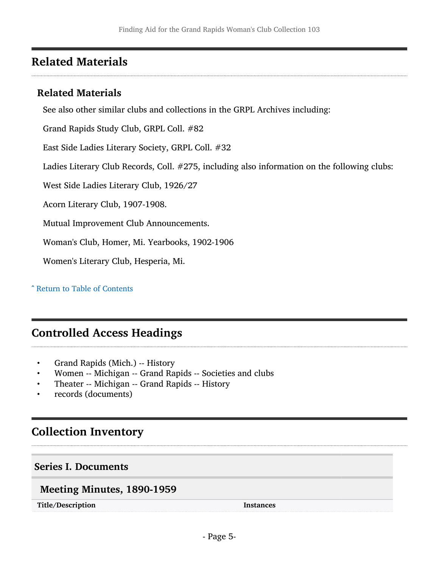# <span id="page-4-0"></span>Related Materials

### Related Materials

See also other similar clubs and collections in the GRPL Archives including:

Grand Rapids Study Club, GRPL Coll. #82

East Side Ladies Literary Society, GRPL Coll. #32

Ladies Literary Club Records, Coll. #275, including also information on the following clubs:

West Side Ladies Literary Club, 1926/27

Acorn Literary Club, 1907-1908.

Mutual Improvement Club Announcements.

Woman's Club, Homer, Mi. Yearbooks, 1902-1906

Women's Literary Club, Hesperia, Mi.

^ [Return to Table of Contents](#page-1-0)

### <span id="page-4-1"></span>Controlled Access Headings

- Grand Rapids (Mich.) -- History
- Women -- Michigan -- Grand Rapids -- Societies and clubs
- Theater -- Michigan -- Grand Rapids -- History
- records (documents)

# <span id="page-4-2"></span>Collection Inventory

#### <span id="page-4-3"></span>Series I. Documents

#### <span id="page-4-4"></span>Meeting Minutes, 1890-1959

Title/Description Instances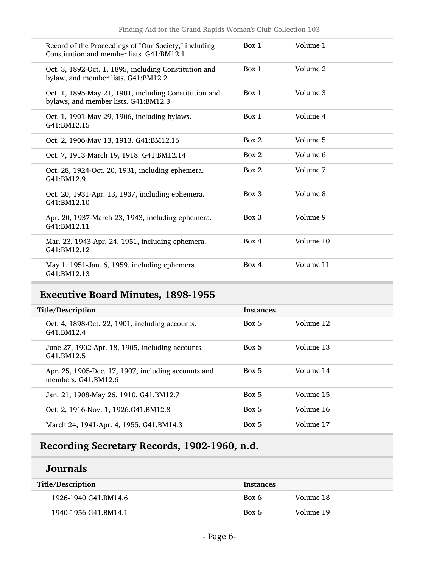| Record of the Proceedings of "Our Society," including<br>Constitution and member lists, G41:BM12.1 | Box 1    | Volume 1  |
|----------------------------------------------------------------------------------------------------|----------|-----------|
| Oct. 3, 1892-Oct. 1, 1895, including Constitution and<br>bylaw, and member lists. G41:BM12.2       | Box 1    | Volume 2  |
| Oct. 1, 1895-May 21, 1901, including Constitution and<br>bylaws, and member lists. G41:BM12.3      | Box 1    | Volume 3  |
| Oct. 1, 1901-May 29, 1906, including bylaws.<br>G41:BM12.15                                        | Box 1    | Volume 4  |
| Oct. 2, 1906-May 13, 1913. G41:BM12.16                                                             | Box 2    | Volume 5  |
| Oct. 7, 1913-March 19, 1918. G41:BM12.14                                                           | Box 2    | Volume 6  |
| Oct. 28, 1924-Oct. 20, 1931, including ephemera.<br>G41:BM12.9                                     | Box 2    | Volume 7  |
| Oct. 20, 1931-Apr. 13, 1937, including ephemera.<br>G41:BM12.10                                    | $Box\ 3$ | Volume 8  |
| Apr. 20, 1937-March 23, 1943, including ephemera.<br>G41:BM12.11                                   | Box 3    | Volume 9  |
| Mar. 23, 1943-Apr. 24, 1951, including ephemera.<br>G41:BM12.12                                    | Box 4    | Volume 10 |
| May 1, 1951-Jan. 6, 1959, including ephemera.<br>G41:BM12.13                                       | Box 4    | Volume 11 |

## <span id="page-5-0"></span>Executive Board Minutes, 1898-1955

| Title/Description                                                          | <b>Instances</b> |           |
|----------------------------------------------------------------------------|------------------|-----------|
| Oct. 4, 1898-Oct. 22, 1901, including accounts.<br>G41.BM12.4              | Box 5            | Volume 12 |
| June 27, 1902-Apr. 18, 1905, including accounts.<br>G41.BM12.5             | Box 5            | Volume 13 |
| Apr. 25, 1905-Dec. 17, 1907, including accounts and<br>members. G41.BM12.6 | Box 5            | Volume 14 |
| Jan. 21, 1908-May 26, 1910. G41.BM12.7                                     | Box 5            | Volume 15 |
| Oct. 2, 1916-Nov. 1, 1926. G41. BM12.8                                     | Box 5            | Volume 16 |
| March 24, 1941-Apr. 4, 1955. G41.BM14.3                                    | Box 5            | Volume 17 |

# <span id="page-5-1"></span>Recording Secretary Records, 1902-1960, n.d.

## Journals

| Title/Description    | <b>Instances</b> |           |
|----------------------|------------------|-----------|
| 1926-1940 G41.BM14.6 | Box 6            | Volume 18 |
| 1940-1956 G41.BM14.1 | Box 6            | Volume 19 |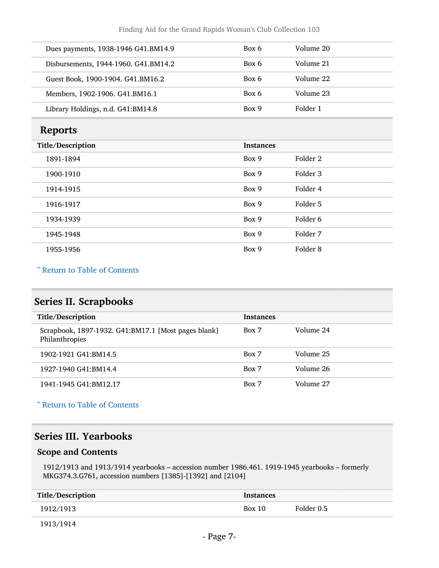| Dues payments, 1938-1946 G41.BM14.9  | Box 6 | Volume 20 |
|--------------------------------------|-------|-----------|
| Disbursements, 1944-1960. G41.BM14.2 | Box 6 | Volume 21 |
| Guest Book, 1900-1904. G41.BM16.2    | Box 6 | Volume 22 |
| Members, 1902-1906. G41.BM16.1       | Box 6 | Volume 23 |
| Library Holdings, n.d. G41:BM14.8    | Box 9 | Folder 1  |

### <span id="page-6-0"></span>Reports

| Title/Description | <b>Instances</b> |                     |
|-------------------|------------------|---------------------|
| 1891-1894         | Box 9            | Folder 2            |
| 1900-1910         | Box 9            | Folder 3            |
| 1914-1915         | Box 9            | Folder 4            |
| 1916-1917         | Box 9            | Folder 5            |
| 1934-1939         | Box 9            | Folder 6            |
| 1945-1948         | Box 9            | Folder 7            |
| 1955-1956         | Box 9            | Folder <sub>8</sub> |
|                   |                  |                     |

#### ^ [Return to Table of Contents](#page-1-0)

## <span id="page-6-1"></span>Series II. Scrapbooks

| Title/Description                                                     | <b>Instances</b> |           |
|-----------------------------------------------------------------------|------------------|-----------|
| Scrapbook, 1897-1932. G41:BM17.1 [Most pages blank]<br>Philanthropies | Box 7            | Volume 24 |
| 1902-1921 G41:BM14.5                                                  | Box 7            | Volume 25 |
| 1927-1940 G41:BM14.4                                                  | Box 7            | Volume 26 |
| 1941-1945 G41:BM12.17                                                 | Box 7            | Volume 27 |

^ [Return to Table of Contents](#page-1-0)

### <span id="page-6-2"></span>Series III. Yearbooks

#### Scope and Contents

1912/1913 and 1913/1914 yearbooks – accession number 1986.461. 1919-1945 yearbooks – formerly MKG374.3.G761, accession numbers [1385]-[1392] and [2104]

| Title/Description | <b>Instances</b> |            |
|-------------------|------------------|------------|
| 1912/1913         | Box 10           | Folder 0.5 |

1913/1914